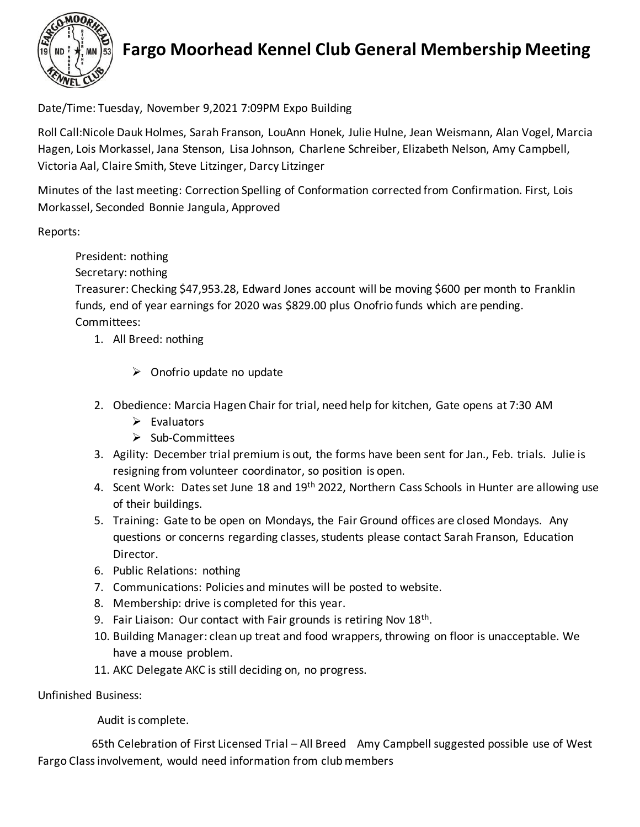

## **Fargo Moorhead Kennel Club General Membership Meeting**

Date/Time: Tuesday, November 9,2021 7:09PM Expo Building

Roll Call:Nicole Dauk Holmes, Sarah Franson, LouAnn Honek, Julie Hulne, Jean Weismann, Alan Vogel, Marcia Hagen, Lois Morkassel, Jana Stenson, Lisa Johnson, Charlene Schreiber, Elizabeth Nelson, Amy Campbell, Victoria Aal, Claire Smith, Steve Litzinger, Darcy Litzinger

Minutes of the last meeting: Correction Spelling of Conformation corrected from Confirmation. First, Lois Morkassel, Seconded Bonnie Jangula, Approved

Reports:

President: nothing

Secretary: nothing

Treasurer: Checking \$47,953.28, Edward Jones account will be moving \$600 per month to Franklin funds, end of year earnings for 2020 was \$829.00 plus Onofrio funds which are pending. Committees:

- 1. All Breed: nothing
	- $\triangleright$  Onofrio update no update
- 2. Obedience: Marcia Hagen Chair for trial, need help for kitchen, Gate opens at 7:30 AM
	- $\triangleright$  Evaluators
	- ➢ Sub-Committees
- 3. Agility: December trial premium is out, the forms have been sent for Jan., Feb. trials. Julie is resigning from volunteer coordinator, so position is open.
- 4. Scent Work: Dates set June 18 and 19<sup>th</sup> 2022, Northern Cass Schools in Hunter are allowing use of their buildings.
- 5. Training: Gate to be open on Mondays, the Fair Ground offices are closed Mondays. Any questions or concerns regarding classes, students please contact Sarah Franson, Education Director.
- 6. Public Relations: nothing
- 7. Communications: Policies and minutes will be posted to website.
- 8. Membership: drive is completed for this year.
- 9. Fair Liaison: Our contact with Fair grounds is retiring Nov  $18<sup>th</sup>$ .
- 10. Building Manager: clean up treat and food wrappers, throwing on floor is unacceptable. We have a mouse problem.
- 11. AKC Delegate AKC is still deciding on, no progress.

Unfinished Business:

Audit is complete.

 65th Celebration of First Licensed Trial – All Breed Amy Campbell suggested possible use of West Fargo Class involvement, would need information from club members